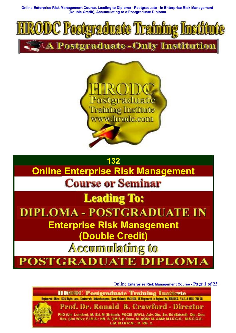





Online **Enterprise Risk Management Course - Page 1 of 23** 





Prof. Dr. Ronald B. Crawford - Director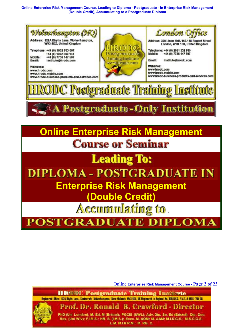

**(Double Credit)**

**OSTGRADUA JOMA** F.

Online **Enterprise Risk Management Course - Page 2 of 23** 

**HRODT Postgraduate Training Institute** Registered Dice: 020 Blvds Law, Castervit, Nalverlampton, Nest Milanis MV3 EDZ, UK Hagatered in England No. 5088763, V.A.T. # 1956 765 38



Prof. Dr. Ronald B. Crawford - Director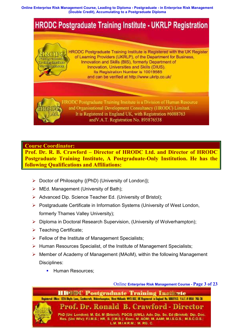# **HRODC Postgraduate Training Institute - UKRLP Registration** HRODC Postgraduate Training Institute is Registered with the UK Register of Learning Providers (UKRLP), of the Department for Business, astgraduat Innovation and Skills (BIS), formerly Department of raining Institute amaineem Innovation, Universities and Skills (DIUS). Its Registration Number is 10019585 and can be verified at http://www.ukrlp.co.uk/ **IRODC** Postgraduate Training Institute is a Division of Human Resource and Organisational Development Consultancy (HRODC) Limited. It is Registered in England UK, with Registration #6088763 and V.A.T. Registration No. 895876538

### **Course Coordinator:**

**Prof. Dr. R. B. Crawford – Director of HRODC Ltd. and Director of HRODC Postgraduate Training Institute, A Postgraduate-Only Institution. He has the following Qualifications and Affiliations:**

- $\triangleright$  Doctor of Philosophy {(PhD) (University of London)};
- $\triangleright$  MEd. Management (University of Bath);
- Advanced Dip. Science Teacher Ed. (University of Bristol):
- ▶ Postgraduate Certificate in Information Systems (University of West London, formerly Thames Valley University);
- $\triangleright$  Diploma in Doctoral Research Supervision, (University of Wolverhampton);
- $\triangleright$  Teaching Certificate;
- $\triangleright$  Fellow of the Institute of Management Specialists;
- $\triangleright$  Human Resources Specialist, of the Institute of Management Specialists;
- ▶ Member of Academy of Management (MAoM), within the following Management Disciplines:
	- Human Resources;

Online **Enterprise Risk Management Course - Page 3 of 23** 

**HR#DC Postgraduate Training Institute** Registered Office: 0224 Blogin Lane, Casterratt, Malvertampton, West Millands MV3 BDZ, UK Hogstered in England No. 8088763, V.A.T. # 1958-765-38



**Prof. Dr. Ronald B. Crawford - Director**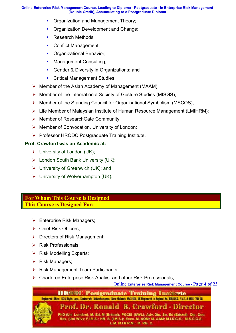- **Organization and Management Theory;**
- Organization Development and Change;
- Research Methods:
- Conflict Management;
- Organizational Behavior;
- **Management Consulting;**
- **Gender & Diversity in Organizations; and**
- **Critical Management Studies.**
- $\triangleright$  Member of the Asian Academy of Management (MAAM);
- $\triangleright$  Member of the International Society of Gesture Studies (MISGS):
- Member of the Standing Council for Organisational Symbolism (MSCOS);
- Life Member of Malaysian Institute of Human Resource Management (LMIHRM);
- ▶ Member of ResearchGate Community;
- $\triangleright$  Member of Convocation, University of London;
- ▶ Professor HRODC Postgraduate Training Institute.

### **Prof. Crawford was an Academic at:**

- $\triangleright$  University of London (UK);
- $\triangleright$  London South Bank University (UK);
- $\triangleright$  University of Greenwich (UK); and
- $\triangleright$  University of Wolverhampton (UK).

### **For Whom This Course is Designed This Course is Designed For:**

- $\triangleright$  Enterprise Risk Managers:
- ▶ Chief Risk Officers:
- $\triangleright$  Directors of Risk Management;
- $\triangleright$  Risk Professionals;
- $\triangleright$  Risk Modelling Experts;
- $\triangleright$  Risk Managers;
- $\triangleright$  Risk Management Team Participants;
- Chartered Enterprise Risk Analyst and other Risk Professionals;

Online **Enterprise Risk Management Course - Page 4 of 23** 

**HR#DC Postgraduate Training Institute** Registered Office: 022A Bloghs Lane, Castecraft, Nates kangton, West Millands MV3 EDZ, UE Hagstered in England No. 8088763. V.A.T. # 8556 765 38



**Prof. Dr. Ronald B. Crawford - Director**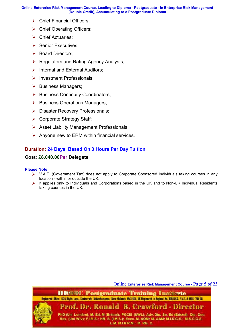- ▶ Chief Financial Officers:
- ▶ Chief Operating Officers;
- ▶ Chief Actuaries;
- $\triangleright$  Senior Executives;
- ▶ Board Directors:
- $\triangleright$  Regulators and Rating Agency Analysts;
- $\triangleright$  Internal and External Auditors:
- $\triangleright$  Investment Professionals;
- $\triangleright$  Business Managers;
- $\triangleright$  Business Continuity Coordinators:
- $\triangleright$  Business Operations Managers;
- **Disaster Recovery Professionals;**
- ▶ Corporate Strategy Staff;
- $\triangleright$  Asset Liability Management Professionals;
- $\triangleright$  Anyone new to ERM within financial services.

#### **Duration: 24 Days, Based On 3 Hours Per Day Tuition**

#### **Cost: £8,040.00Per Delegate**

#### **Please Note:**

- V.A.T. (Government Tax) does not apply to Corporate Sponsored Individuals taking courses in any location - within or outside the UK.
- It applies only to Individuals and Corporations based in the UK and to Non-UK Individual Residents taking courses in the UK.

Online **Enterprise Risk Management Course - Page 5 of 23** 

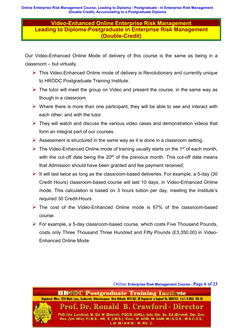### **Video-Enhanced Online Enterprise Risk Management Leading to Diploma-Postgraduate in Enterprise Risk Management (Double-Credit)**

Our Video-Enhanced Online Mode of delivery of this course is the same as being in a classroom – but virtually.

- $\triangleright$  This Video-Enhanced Online mode of delivery is Revolutionary and currently unique to HRODC Postgraduate Training Institute.
- $\triangleright$  The tutor will meet the group on Video and present the course, in the same way as though in a classroom.
- $\triangleright$  Where there is more than one participant, they will be able to see and interact with each other, and with the tutor.
- $\triangleright$  They will watch and discuss the various video cases and demonstration videos that form an integral part of our courses.
- $\triangleright$  Assessment is structured in the same way as it is done in a classroom setting.
- $\triangleright$  The Video-Enhanced Online mode of training usually starts on the 1<sup>st</sup> of each month, with the cut-off date being the  $20<sup>th</sup>$  of the previous month. This cut-off date means that Admission should have been granted and fee payment received;
- $\triangleright$  It will last twice as long as the classroom-based deliveries. For example, a 5-day (30) Credit Hours) classroom-based course will last 10 days, in Video-Enhanced Online mode. This calculation is based on 3 hours tuition per day, meeting the Institute's required 30 Credit-Hours.
- $\triangleright$  The cost of the Video-Enhanced Online mode is 67% of the classroom-based course.
- $\triangleright$  For example, a 5-day classroom-based course, which costs Five Thousand Pounds, costs only Three Thousand Three Hundred and Fifty Pounds (£3,350.00) in Video-Enhanced Online Mode.

Online **Enterprise Risk Management Course - Page 6 of 23** 

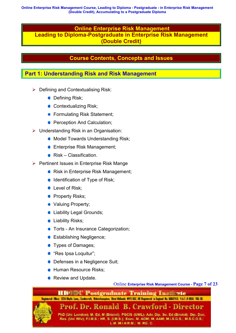### **Online Enterprise Risk Management Leading to Diploma-Postgraduate in Enterprise Risk Management (Double Credit)**

### **Course Contents, Concepts and Issues**

### **Part 1: Understanding Risk and Risk Management**

- $\triangleright$  Defining and Contextualising Risk:
	- **Defining Risk;**
	- Contextualizing Risk:
	- **Formulating Risk Statement;**
	- **Perception And Calculation;**
- Understanding Risk in an Organisation:
	- **Model Towards Understanding Risk;**
	- **Enterprise Risk Management;**
	- **Risk Classification.**
- $\triangleright$  Pertinent Issues in Enterprise Risk Mange
	- Risk in Enterprise Risk Management;
	- **Identification of Type of Risk;**
	- **Level of Risk:**
	- **Property Risks;**
	- Valuing Property;
	- **Calcular Liability Legal Grounds;**
	- **Liability Risks;**
	- **Torts An Insurance Categorization;**
	- **Establishing Negligence;**
	- **Types of Damages;**
	- "Res Ipsa Loquitur";
	- **C** Defenses in a Negligence Suit;
	- **Human Resource Risks:**
	- Review and Update.

Online **Enterprise Risk Management Course - Page 7 of 23** 

**HRODT Postgraduate Training Institute** Registered Office: 022A Bloghs Lane, Castecraft, Nates kangton, West Millands MV3 EDZ, UE Hagstered in England No. 8088763. V.A.T. # 8556 765 38



# **Prof. Dr. Ronald B. Crawford - Director**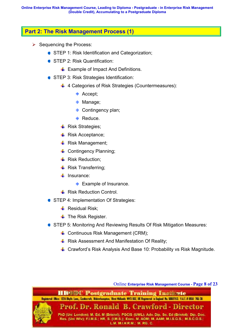### **Part 2: The Risk Management Process (1)**

- $\triangleright$  Sequencing the Process:
	- **STEP 1: Risk Identification and Categorization;**
	- STEP 2: Risk Quantification:
		- $\div$  Example of Impact And Definitions.
	- **STEP 3: Risk Strategies Identification:** 
		- $\frac{1}{4}$  4 Categories of Risk Strategies (Countermeasures):
			- **← Accept:**
			- **♦ Manage;**
			- **♦ Contingency plan;**
			- $\bigoplus$  Reduce.
		- $\overline{\phantom{a}}$  Risk Strategies:
		- $\leftarrow$  Risk Acceptance;
		- **Risk Management;**
		- **↓** Contingency Planning;
		- $\blacksquare$  Risk Reduction:
		- $\leftarrow$  Risk Transferring;
		- **I** Insurance:
			- **♦ Example of Insurance.**
		- **E** Risk Reduction Control.
	- **STEP 4: Implementation Of Strategies:** 
		- **Residual Risk;**
		- $\ddot{\bullet}$  The Risk Register.
	- **STEP 5: Monitoring And Reviewing Results Of Risk Mitigation Measures:** 
		- Continuous Risk Management (CRM):
		- **F** Risk Assessment And Manifestation Of Reality;
		- $\frac{1}{2}$  Crawford's Risk Analysis And Base 10: Probability vs Risk Magnitude.

Online **Enterprise Risk Management Course - Page 8 of 23** 

**HR#DC Postgraduate Training Institute** Registered Office: 022A Bloghs Lane, Castecraft, Nates tampton, Nest Millands MV3 EDZ, UE Registered in England No. 5088763. V.A.T. # 0558-765-38



# Prof. Dr. Ronald B. Crawford - Director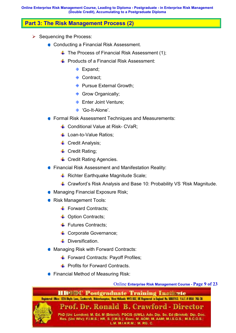### **Part 3: The Risk Management Process (2)**

- $\triangleright$  Sequencing the Process:
	- **Conducting a Financial Risk Assessment.** 
		- $\frac{1}{2}$  The Process of Financial Risk Assessment (1);
		- $\frac{1}{2}$  Products of a Financial Risk Assessment:
			- **Expand:**
			- **⊕** Contract:
			- **Pursue External Growth:**
			- **♦ Grow Organically:**
			- $\triangleq$  Enter Joint Venture:
			- 'Go-It-Alone'.
	- **Formal Risk Assessment Techniques and Measurements:** 
		- **E** Conditional Value at Risk- CVaR:
		- Loan-to-Value Ratios;
		- **Credit Analysis;**
		- **↓** Credit Rating;
		- **L** Credit Rating Agencies.
	- **Financial Risk Assessment and Manifestation Reality:** 
		- **Richter Earthquake Magnitude Scale;**
		- $\ddot{\text{+}}$  Crawford's Risk Analysis and Base 10: Probability VS 'Risk Magnitude.
	- **Managing Financial Exposure Risk;**
	- Risk Management Tools:
		- Forward Contracts;
		- **↓** Option Contracts;
		- $\leftarrow$  Futures Contracts;
		- Corporate Governance:
		- **Diversification**
	- **Managing Risk with Forward Contracts:** 
		- Forward Contracts: Payoff Profiles;
		- **Profits for Forward Contracts.**
	- **Financial Method of Measuring Risk:**

#### Online **Enterprise Risk Management Course - Page 9 of 23**

**HR#DC Postgraduate Training Institute** Registered Office: 122A Blyde Lane, Castecraft, Nationhampton, Nest Millands MV3 BDZ, UK Hagstered in England No. 6088763. V.A.T. # 8556 765 38

# Prof. Dr. Ronald B. Crawford - Director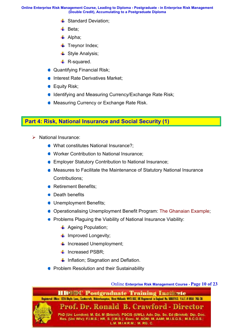- $\triangleq$  Standard Deviation:
- **H** Beta:
- Alpha;
- $\ddot{\bullet}$  Treynor Index;
- $\triangleq$  Style Analysis;
- **R**-squared.
- **Quantifying Financial Risk;**
- **Interest Rate Derivatives Market;**
- **Equity Risk;**
- **IDENTIFY IDEA)** Identifying and Measuring Currency/Exchange Rate Risk;
- **Measuring Currency or Exchange Rate Risk.**

### **Part 4: Risk, National Insurance and Social Security (1)**

- > National Insurance:
	- **What constitutes National Insurance?;**
	- **Worker Contribution to National Insurance;**
	- **Employer Statutory Contribution to National Insurance;**
	- **C** Measures to Facilitate the Maintenance of Statutory National Insurance Contributions;
	- Retirement Benefits:
	- Death benefits
	- **Unemployment Benefits;**
	- **Operationalising Unemployment Benefit Program: The Ghanaian Example:**
	- **Problems Plaguing the Viability of National Insurance Viability:** 
		- **↓** Ageing Population;
		- $\blacksquare$  Improved Longevity;
		- $\ddot{\phantom{1}}$  Increased Unemployment;
		- **Increased PSBR:**
		- Inflation; Stagnation and Deflation.
	- **Problem Resolution and their Sustainability**

Online **Enterprise Risk Management Course - Page 10 of 23** 

**HR#DC Postgraduate Training Institute** Registered Office: 020A Blyde Law,, Casterralt, Natembaragion, Nest Midanis WV3 EDZ, UE Registered in England No. 5088763. V.A.T. # 8556 765 38



Prof. Dr. Ronald B. Crawford - Director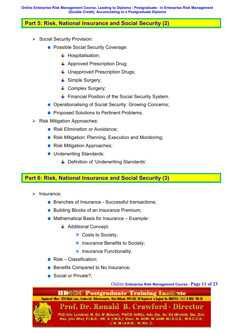### **Part 5: Risk, National Insurance and Social Security (2)**

- $\triangleright$  Social Security Provision:
	- **Possible Social Security Coverage:** 
		- $\blacksquare$  Hospitalisation;
		- **← Approved Prescription Drug;**
		- **Unapproved Prescription Drugs;**
		- **↓** Simple Surgery;
		- Complex Surgery;
		- $\frac{1}{\sqrt{2}}$  Financial Position of the Social Security System.
	- Operationalising of Social Security: Growing Concerns;
	- **Proposed Solutions to Pertinent Problems.**
- $\triangleright$  Risk Mitigation Approaches:
	- Risk Elimination or Avoidance;
	- Risk Mitigation: Planning, Execution and Monitoring;
	- **Risk Mitigation Approaches;**
	- **Underwriting Standards:** 
		- **Definition of 'Underwriting Standards'.**

### **Part 6: Risk, National Insurance and Social Security (3)**

- $\triangleright$  Insurance:
	- **Branches of Insurance Successful transactions;**
	- Building Blocks of an Insurance Premium;
	- Mathematical Basis for Insurance Example:
		- **Additional Concept:** 
			- **♦ Costs to Society;**
			- $\bigoplus$  Insurance Benefits to Society;
			- $\bigoplus$  Insurance Functionality.
	- Risk Classification:
	- Benefits Compared to No Insurance;
	- Social or Private?;

Online **Enterprise Risk Management Course - Page 11 of 23** 

**HR#DC Postgraduate Training Institute** Registered Office: (22A Blyds Lane, Casterralt, Malverhampton, West Millands MV3 BDZ, UK Hagastered in England No. 5088763, V.A.T. # 8556 765 38



# Prof. Dr. Ronald B. Crawford - Director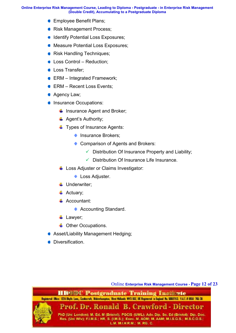- **Employee Benefit Plans;**
- Risk Management Process;
- **Identify Potential Loss Exposures;**
- **Measure Potential Loss Exposures;**
- Risk Handling Techniques;
- **Loss Control Reduction;**
- **Loss Transfer;**
- **ERM** Integrated Framework;
- **ERM** Recent Loss Events;
- **Agency Law;**
- **Insurance Occupations:** 
	- $\frac{1}{\sqrt{1}}$  Insurance Agent and Broker;
	- $\triangleq$  Agent's Authority;
	- **Types of Insurance Agents:** 
		- $\bigoplus$  Insurance Brokers;
		- ♦ Comparison of Agents and Brokers:
			- $\checkmark$  Distribution Of Insurance Property and Liability;
			- $\checkmark$  Distribution Of Insurance Life Insurance.
	- Loss Adjuster or Claims Investigator:
		- $\bullet$  Loss Adjuster.
	- **Underwriter:**
	- $\blacksquare$  Actuary;
	- **+** Accountant:
		- **♦ Accounting Standard.**
	- $\blacksquare$  Lawver:
	- **U** Other Occupations.
- **Asset/Liability Management Hedging;**
- **Diversification.**

Online **Enterprise Risk Management Course - Page 12 of 23** 

**HRODT Postgraduate Training Institute** Registered Office: 020 Bly/is Law,, Casterralt, Natestampton, Nest Millands NV3 EDZ, UE Registered in England No. 8088763. V.A.T. # 8556 765 38



Prof. Dr. Ronald B. Crawford - Director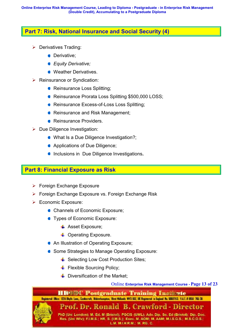### **Part 7: Risk, National Insurance and Social Security (4)**

- ▶ Derivatives Trading:
	- **Derivative:**
	- *Equity Derivative;*
	- **Weather Derivatives**
- ▶ Reinsurance or Syndication:
	- Reinsurance Loss Splitting;
	- Reinsurance Prorata Loss Splitting \$500,000 LOSS;
	- Reinsurance Excess-of-Loss Loss Splitting;
	- Reinsurance and Risk Management;
	- **Reinsurance Providers.**
- $\triangleright$  Due Diligence Investigation:
	- What Is a Due Diligence Investigation?;
	- **Applications of Due Diligence;**
	- **Inclusions in Due Diligence Investigations.**

### **Part 8: Financial Exposure as Risk**

- **Foreign Exchange Exposure**
- $\triangleright$  Foreign Exchange Exposure vs. Foreign Exchange Risk
- $\triangleright$  Economic Exposure:
	- **Channels of Economic Exposure;**
	- **Types of Economic Exposure:** 
		- **Asset Exposure;**
		- **Coperating Exposure.**
	- **An Illustration of Operating Exposure;**
	- Some Strategies to Manage Operating Exposure:
		- **E** Selecting Low Cost Production Sites;
		- Flexible Sourcing Policy:
		- $\leftarrow$  Diversification of the Market:

#### Online **Enterprise Risk Management Course - Page 13 of 23**

**HR#DC Postgraduate Training Institute** Registered Office: 022A Bloghs Lane, Castecraft, Nates tampton, Nest Millands MV3 EDZ, UE Registered in England No. 5088763. V.A.T. # 0558-765-38



# Prof. Dr. Ronald B. Crawford - Director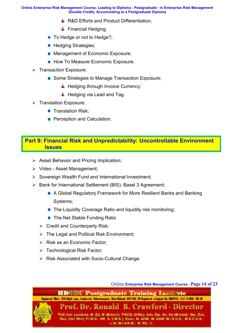- **EXALUE** FR&D Efforts and Product Differentiation:
- **Financial Hedging.**
- To Hedge or not to Hedge?;
- **Hedging Strategies;**
- Management of Economic Exposure;
- **How To Measure Economic Exposure.**
- $\triangleright$  Transaction Exposure:
	- Some Strategies to Manage Transaction Exposure;
		- $\bigstar$  Hedging through Invoice Currency;
		- $\blacksquare$  Hedging via Lead and Tag.
- $\triangleright$  Translation Exposure:
	- **Translation Risk:**
	- **Perception and Calculation.**

### **Part 9: Financial Risk and Unpredictability: Uncontrollable Environment Issues**

- $\triangleright$  Asset Behavior and Pricing Implication;
- Video Asset Management;
- $\triangleright$  Sovereign Wealth Fund and International Investment;
- ▶ Bank for International Settlement (BIS): Basel 3 Agreement:
	- A Global Regulatory Framework for More Resilient Banks and Banking Systems;
	- **The Liquidity Coverage Ratio and liquidity risk monitoring;**
	- **The Net Stable Funding Ratio**
	- $\triangleright$  Credit and Counterparty Risk;
	- $\triangleright$  The Legal and Political Risk Environment;
	- $\triangleright$  Risk as an Economic Factor;
	- $\triangleright$  Technological Risk Factor;
	- ▶ Risk Associated with Socio-Cultural Change.

Online **Enterprise Risk Management Course - Page 14 of 23** 

**HR#DC Postgraduate Training Institute** Registered Office: 022A Bloghs Lane, Castecraft, Nates kangton, West Millands MV3 EDZ, UE Hagstered in England No. 8088763. V.A.T. # 8556 765 38



**Prof. Dr. Ronald B. Crawford - Director**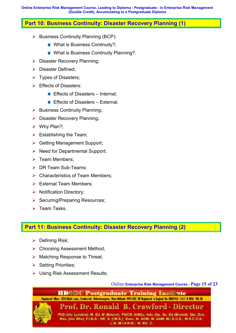### **Part 10: Business Continuity: Disaster Recovery Planning (1)**

- $\triangleright$  Business Continuity Planning (BCP):
	- **What is Business Continuity?;**
	- **What is Business Continuity Planning?.**
- $\triangleright$  Disaster Recovery Planning;
- ▶ Disaster Defined:
- $\triangleright$  Types of Disasters;
- $\triangleright$  Effects of Disasters:
	- Effects of Disasters Internal:
	- Effects of Disasters External.
- $\triangleright$  Business Continuity Planning;
- $\triangleright$  Disaster Recovery Planning;
- $\triangleright$  Why Plan?;
- $\triangleright$  Establishing the Team;
- **▶ Getting Management Support;**
- $\triangleright$  Need for Departmental Support;
- $\triangleright$  Team Members:
- ▶ DR Team Sub-Teams:
- **▶ Characteristics of Team Members:**
- External Team Members;
- $\triangleright$  Notification Directory;
- $\triangleright$  Securing/Preparing Resources;
- $\triangleright$  Team Tasks.

### **Part 11: Business Continuity: Disaster Recovery Planning (2)**

- $\triangleright$  Defining Risk;
- ▶ Choosing Assessment Method:
- $\triangleright$  Matching Response to Threat;
- $\triangleright$  Setting Priorities;
- **▶ Using Risk Assessment Results;**

Online **Enterprise Risk Management Course - Page 15 of 23** 

**HR#DC Postgraduate Training Institute** Registered Dice: 020 Blvds Law, Castervit, Nalverlampton, Nest Milanis MV3 EDZ, UK Hagatered in England No. 5088763, V.A.T. # 1956 765 38



# Prof. Dr. Ronald B. Crawford - Director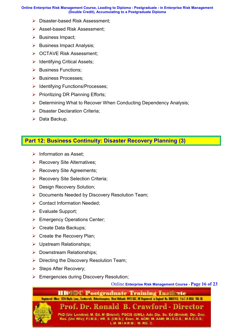- ▶ Disaster-based Risk Assessment:
- Asset-based Risk Assessment;
- $\triangleright$  Business Impact;
- $\triangleright$  Business Impact Analysis;
- **▶ OCTAVE Risk Assessment:**
- $\triangleright$  Identifying Critical Assets;
- $\triangleright$  Business Functions:
- ▶ Business Processes;
- $\triangleright$  Identifying Functions/Processes;
- $\triangleright$  Prioritizing DR Planning Efforts;
- ▶ Determining What to Recover When Conducting Dependency Analysis;
- $\triangleright$  Disaster Declaration Criteria:
- $\triangleright$  Data Backup.

### **Part 12: Business Continuity: Disaster Recovery Planning (3)**

- $\triangleright$  Information as Asset:
- ▶ Recovery Site Alternatives;
- $\triangleright$  Recovery Site Agreements;
- $\triangleright$  Recovery Site Selection Criteria;
- ▶ Design Recovery Solution;
- ▶ Documents Needed by Discovery Resolution Team;
- $\triangleright$  Contact Information Needed:
- $\triangleright$  Evaluate Support;
- Emergency Operations Center;
- $\triangleright$  Create Data Backups;
- $\triangleright$  Create the Recovery Plan;
- > Upstream Relationships;
- $\triangleright$  Downstream Relationships;
- $\triangleright$  Directing the Discovery Resolution Team;
- $\triangleright$  Steps After Recovery;
- $\triangleright$  Emergencies during Discovery Resolution;

Online **Enterprise Risk Management Course - Page 16 of 23** 

**HR#DC Postgraduate Training Institute** Registered Office: 020 Bly/is Law,, Casterralt, Natestampton, Nest Millands NV3 EDZ, UE Registered in England No. 8088763. V.A.T. # 8556 765 38



# **Prof. Dr. Ronald B. Crawford - Director**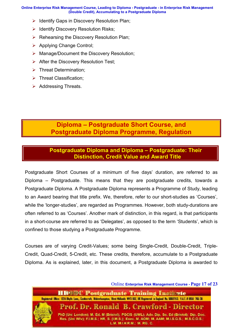- $\triangleright$  Identify Gaps in Discovery Resolution Plan;
- $\triangleright$  Identify Discovery Resolution Risks;
- $\triangleright$  Rehearsing the Discovery Resolution Plan;
- $\triangleright$  Applying Change Control;
- $\triangleright$  Manage/Document the Discovery Resolution;
- $\triangleright$  After the Discovery Resolution Test;
- > Threat Determination:
- > Threat Classification;
- $\triangleright$  Addressing Threats.

# **Diploma – Postgraduate Short Course, and Postgraduate Diploma Programme, Regulation**

### **Postgraduate Diploma and Diploma – Postgraduate: Their Distinction, Credit Value and Award Title**

Postgraduate Short Courses of a minimum of five days' duration, are referred to as Diploma – Postgraduate. This means that they are postgraduate credits, towards a Postgraduate Diploma. A Postgraduate Diploma represents a Programme of Study, leading to an Award bearing that title prefix. We, therefore, refer to our short-studies as 'Courses', while the 'longer-studies', are regarded as Programmes. However, both study-durations are often referred to as 'Courses'. Another mark of distinction, in this regard, is that participants in a short-course are referred to as 'Delegates', as opposed to the term 'Students', which is confined to those studying a Postgraduate Programme.

Courses are of varying Credit-Values; some being Single-Credit, Double-Credit, Triple-Credit, Quad-Credit, 5-Credit, etc. These credits, therefore, accumulate to a Postgraduate Diploma. As is explained, later, in this document, a Postgraduate Diploma is awarded to

Online **Enterprise Risk Management Course - Page 17 of 23** 

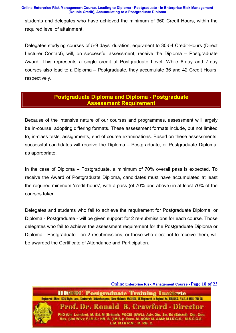students and delegates who have achieved the minimum of 360 Credit Hours, within the required level of attainment.

Delegates studying courses of 5-9 days' duration, equivalent to 30-54 Credit-Hours (Direct Lecturer Contact), will, on successful assessment, receive the Diploma – Postgraduate Award. This represents a single credit at Postgraduate Level. While 6-day and 7-day courses also lead to a Diploma – Postgraduate, they accumulate 36 and 42 Credit Hours, respectively.

### **Postgraduate Diploma and Diploma - Postgraduate Assessment Requirement**

Because of the intensive nature of our courses and programmes, assessment will largely be in-course, adopting differing formats. These assessment formats include, but not limited to, in-class tests, assignments, end of course examinations. Based on these assessments, successful candidates will receive the Diploma – Postgraduate, or Postgraduate Diploma, as appropriate.

In the case of Diploma – Postgraduate, a minimum of 70% overall pass is expected. To receive the Award of Postgraduate Diploma, candidates must have accumulated at least the required minimum 'credit-hours', with a pass (of 70% and above) in at least 70% of the courses taken.

Delegates and students who fail to achieve the requirement for Postgraduate Diploma, or Diploma - Postgraduate - will be given support for 2 re-submissions for each course. Those delegates who fail to achieve the assessment requirement for the Postgraduate Diploma or Diploma - Postgraduate - on 2 resubmissions, or those who elect not to receive them, will be awarded the Certificate of Attendance and Participation.

Online **Enterprise Risk Management Course - Page 18 of 23** 

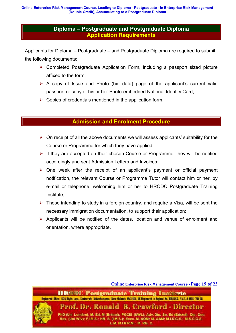### **Diploma – Postgraduate and Postgraduate Diploma Application Requirements**

Applicants for Diploma – Postgraduate – and Postgraduate Diploma are required to submit the following documents:

- $\triangleright$  Completed Postgraduate Application Form, including a passport sized picture affixed to the form;
- $\triangleright$  A copy of Issue and Photo (bio data) page of the applicant's current valid passport or copy of his or her Photo-embedded National Identity Card;
- $\triangleright$  Copies of credentials mentioned in the application form.

### **Admission and Enrolment Procedure**

- $\triangleright$  On receipt of all the above documents we will assess applicants' suitability for the Course or Programme for which they have applied;
- $\triangleright$  If they are accepted on their chosen Course or Programme, they will be notified accordingly and sent Admission Letters and Invoices;
- $\triangleright$  One week after the receipt of an applicant's payment or official payment notification, the relevant Course or Programme Tutor will contact him or her, by e-mail or telephone, welcoming him or her to HRODC Postgraduate Training Institute;
- $\triangleright$  Those intending to study in a foreign country, and require a Visa, will be sent the necessary immigration documentation, to support their application;
- $\triangleright$  Applicants will be notified of the dates, location and venue of enrolment and orientation, where appropriate.

Online **Enterprise Risk Management Course - Page 19 of 23** 

**HRODT Postgraduate Training Institute** Registered Office: (22A Blodis Lane, Castecraft, Molverhampton, West Midlands MV3 BDZ, UK Hagatered in England No. 5888763, V.A.T. # 8558 765 38 Prof. Dr. Ronald B. Crawford - Director

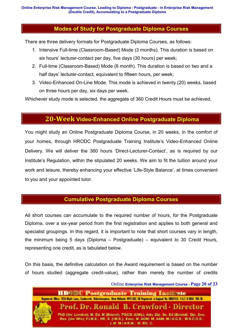### **Modes of Study for Postgraduate Diploma Courses**

There are three delivery formats for Postgraduate Diploma Courses, as follows:

- 1. Intensive Full-time (Classroom-Based) Mode (3 months). This duration is based on six hours' lecturer-contact per day, five days (30 hours) per week;
- 2. Full-time (Classroom-Based) Mode (6 month). This duration is based on two and a half days' lecturer-contact, equivalent to fifteen hours, per week;
- 3. Video-Enhanced On-Line Mode. This mode is achieved in twenty (20) weeks, based on three hours per day, six days per week.

Whichever study mode is selected, the aggregate of 360 Credit Hours must be achieved.

## **20-Week Video-Enhanced Online Postgraduate Diploma**

You might study an Online Postgraduate Diploma Course, in 20 weeks, in the comfort of your homes, through HRODC Postgraduate Training Institute's Video-Enhanced Online Delivery. We will deliver the 360 hours 'Direct-Lecturer-Contact', as is required by our Institute's Regulation, within the stipulated 20 weeks. We aim to fit the tuition around your work and leisure, thereby enhancing your effective 'Life-Style Balance', at times convenient to you and your appointed tutor.

### **Cumulative Postgraduate Diploma Courses**

All short courses can accumulate to the required number of hours, for the Postgraduate Diploma, over a six-year period from the first registration and applies to both general and specialist groupings. In this regard, it is important to note that short courses vary in length, the minimum being 5 days (Diploma – Postgraduate) – equivalent to 30 Credit Hours, representing one credit, as is tabulated below.

On this basis, the definitive calculation on the Award requirement is based on the number of hours studied (aggregate credit-value), rather than merely the number of credits

Online **Enterprise Risk Management Course - Page 20 of 23** 

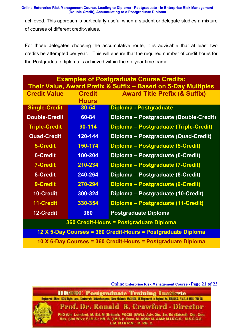achieved. This approach is particularly useful when a student or delegate studies a mixture of courses of different credit-values.

For those delegates choosing the accumulative route, it is advisable that at least two credits be attempted per year. This will ensure that the required number of credit hours for the Postgraduate diploma is achieved within the six-year time frame.

| <b>Examples of Postgraduate Course Credits:</b>               |               |                                          |
|---------------------------------------------------------------|---------------|------------------------------------------|
| Their Value, Award Prefix & Suffix - Based on 5-Day Multiples |               |                                          |
| <b>Credit Value</b>                                           | <b>Credit</b> | <b>Award Title Prefix (&amp; Suffix)</b> |
|                                                               | <b>Hours</b>  |                                          |
| <b>Single-Credit</b>                                          | 30-54         | <b>Diploma - Postgraduate</b>            |
| <b>Double-Credit</b>                                          | 60-84         | Diploma - Postgraduate (Double-Credit)   |
| <b>Triple-Credit</b>                                          | 90-114        | Diploma - Postgraduate (Triple-Credit)   |
| <b>Quad-Credit</b>                                            | 120-144       | Diploma - Postgraduate (Quad-Credit)     |
| 5-Credit                                                      | 150-174       | Diploma – Postgraduate (5-Credit)        |
| <b>6-Credit</b>                                               | 180-204       | Diploma - Postgraduate (6-Credit)        |
| <b>7-Credit</b>                                               | 210-234       | Diploma - Postgraduate (7-Credit)        |
| 8-Credit                                                      | 240-264       | Diploma - Postgraduate (8-Credit)        |
| 9-Credit                                                      | 270-294       | Diploma - Postgraduate (9-Credit)        |
| 10-Credit                                                     | 300-324       | Diploma - Postgraduate (10-Credit)       |
| 11-Credit                                                     | 330-354       | Diploma - Postgraduate (11-Credit)       |
| 12-Credit                                                     | 360           | <b>Postgraduate Diploma</b>              |
| 360 Credit-Hours = Postgraduate Diploma                       |               |                                          |
| 12 X 5-Day Courses = 360 Credit-Hours = Postgraduate Diploma  |               |                                          |
| 10 X 6-Day Courses = 360 Credit-Hours = Postgraduate Diploma  |               |                                          |

Online **Enterprise Risk Management Course - Page 21 of 23** 





Prof. Dr. Ronald B. Crawford - Director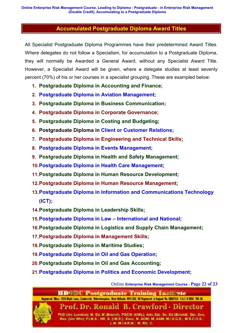### **Accumulated Postgraduate Diploma Award Titles**

All Specialist Postgraduate Diploma Programmes have their predetermined Award Titles. Where delegates do not follow a Specialism, for accumulation to a Postgraduate Diploma, they will normally be Awarded a General Award, without any Specialist Award Title. However, a Specialist Award will be given, where a delegate studies at least seventy percent (70%) of his or her courses in a specialist grouping. These are exampled below:

- **1. Postgraduate Diploma in Accounting and Finance;**
- **2. Postgraduate Diploma in Aviation Management;**
- **3. Postgraduate Diploma in Business Communication;**
- **4. Postgraduate Diploma in Corporate Governance;**
- **5. Postgraduate Diploma in Costing and Budgeting;**
- **6. Postgraduate Diploma in Client or Customer Relations;**
- **7. Postgraduate Diploma in Engineering and Technical Skills;**
- **8. Postgraduate Diploma in Events Management;**
- **9. Postgraduate Diploma in Health and Safety Management;**
- **10. Postgraduate Diploma in Health Care Management;**
- **11. Postgraduate Diploma in Human Resource Development;**
- **12. Postgraduate Diploma in Human Resource Management;**
- **13. Postgraduate Diploma in Information and Communications Technology (ICT);**
- **14. Postgraduate Diploma in Leadership Skills;**
- **15. Postgraduate Diploma in Law International and National;**
- **16. Postgraduate Diploma in Logistics and Supply Chain Management;**
- **17. Postgraduate Diploma in Management Skills;**
- **18. Postgraduate Diploma in Maritime Studies;**
- **19. Postgraduate Diploma in Oil and Gas Operation;**
- **20. Postgraduate Diploma in Oil and Gas Accounting;**
- **21. Postgraduate Diploma in Politics and Economic Development;**

Online **Enterprise Risk Management Course - Page 22 of 23** 

**HRODT Postgraduate Training Institute** Registered Office: 022A Blydis Law,, Castecraft, Natestampton, Nest Millands MV3 EDZ, UE Registered in England No. 8088763. V.A.T. # 8556 765 38



**Prof. Dr. Ronald B. Crawford - Director**